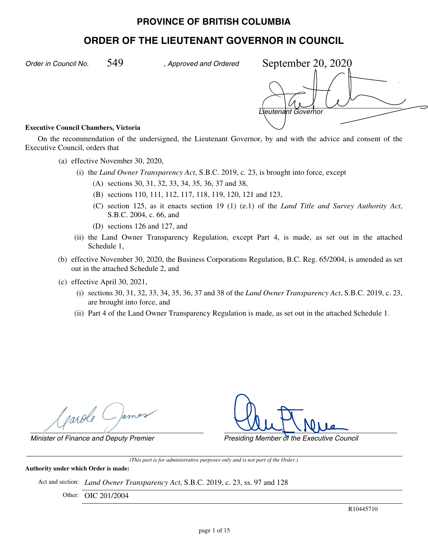# **PROVINCE OF BRITISH COLUMBIA**

# **ORDER OF THE LIEUTENANT GOVERNOR IN COUNCIL**

*Order in Council No. , Approved and Ordered*

*Lieutenant Governor* September 20, 2020

#### **Executive Council Chambers, Victoria**

On the recommendation of the undersigned, the Lieutenant Governor, by and with the advice and consent of the Executive Council, orders that

- (a) effective November 30, 2020,
	- (i) the *Land Owner Transparency Act*, S.B.C. 2019, c. 23, is brought into force, except
		- (A) sections 30, 31, 32, 33, 34, 35, 36, 37 and 38,
		- (B) sections 110, 111, 112, 117, 118, 119, 120, 121 and 123,
		- (C) section 125, as it enacts section 19 (1) (e.1) of the *Land Title and Survey Authority Act*, S.B.C. 2004, c. 66, and
		- (D) sections 126 and 127, and
	- (ii) the Land Owner Transparency Regulation, except Part 4, is made, as set out in the attached Schedule 1,
- (b) effective November 30, 2020, the Business Corporations Regulation, B.C. Reg. 65/2004, is amended as set out in the attached Schedule 2, and
- (c) effective April 30, 2021,
	- (i) sections 30, 31, 32, 33, 34, 35, 36, 37 and 38 of the *Land Owner Transparency Act*, S.B.C. 2019, c. 23, are brought into force, and
	- (ii) Part 4 of the Land Owner Transparency Regulation is made, as set out in the attached Schedule 1.

parole ( )ames

*Minister of Finance and Deputy Premier Presiding Member of the Executive Council*

*(This part is for administrative purposes only and is not part of the Order.)*

#### **Authority under which Order is made:**

Act and section: *Land Owner Transparency Act*, S.B.C. 2019, c. 23, ss. 97 and 128

Other: OIC 201/2004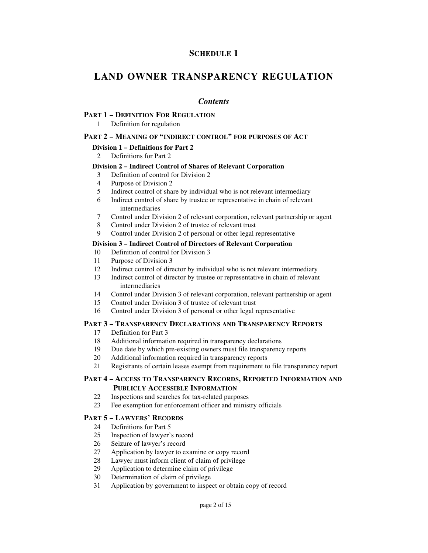# **SCHEDULE 1**

# **LAND OWNER TRANSPARENCY REGULATION**

## *Contents*

#### **PART 1 – DEFINITION FOR REGULATION**

1 Definition for regulation

#### **PART 2 – MEANING OF "INDIRECT CONTROL" FOR PURPOSES OF ACT**

### **Division 1 – Definitions for Part 2**

2 Definitions for Part 2

#### **Division 2 – Indirect Control of Shares of Relevant Corporation**

- 3 Definition of control for Division 2
- 4 Purpose of Division 2
- 5 Indirect control of share by individual who is not relevant intermediary
- 6 Indirect control of share by trustee or representative in chain of relevant intermediaries
- 7 Control under Division 2 of relevant corporation, relevant partnership or agent
- 8 Control under Division 2 of trustee of relevant trust
- 9 Control under Division 2 of personal or other legal representative

## **Division 3 – Indirect Control of Directors of Relevant Corporation**

- 10 Definition of control for Division 3
- 11 Purpose of Division 3
- 12 Indirect control of director by individual who is not relevant intermediary<br>13 Indirect control of director by trustee or representative in chain of relevant
- 13 Indirect control of director by trustee or representative in chain of relevant intermediaries
- 14 Control under Division 3 of relevant corporation, relevant partnership or agent
- 15 Control under Division 3 of trustee of relevant trust
- 16 Control under Division 3 of personal or other legal representative

#### **PART 3 – TRANSPARENCY DECLARATIONS AND TRANSPARENCY REPORTS**

- 17 Definition for Part 3
- 18 Additional information required in transparency declarations
- 19 Due date by which pre-existing owners must file transparency reports
- 20 Additional information required in transparency reports
- 21 Registrants of certain leases exempt from requirement to file transparency report

### **PART 4 – ACCESS TO TRANSPARENCY RECORDS, REPORTED INFORMATION AND PUBLICLY ACCESSIBLE INFORMATION**

- 
- 22 Inspections and searches for tax-related purposes<br>23 Fee exemption for enforcement officer and minist Fee exemption for enforcement officer and ministry officials

#### **PART 5 – LAWYERS' RECORDS**

- 24 Definitions for Part 5
- 25 Inspection of lawyer's record
- 26 Seizure of lawyer's record
- 27 Application by lawyer to examine or copy record
- 28 Lawyer must inform client of claim of privilege
- 29 Application to determine claim of privilege
- 30 Determination of claim of privilege
- 31 Application by government to inspect or obtain copy of record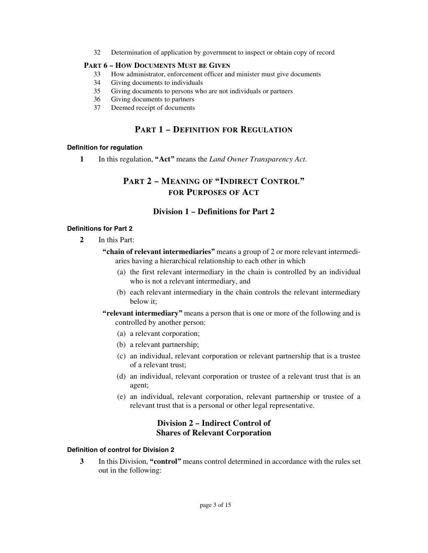32 Determination of application by government to inspect or obtain copy of record

#### **PART 6 – HOW DOCUMENTS MUST BE GIVEN**

- 33 How administrator, enforcement officer and minister must give documents
- 34 Giving documents to individuals
- 35 Giving documents to persons who are not individuals or partners
- 36 Giving documents to partners
- 37 Deemed receipt of documents

## **PART 1 – DEFINITION FOR REGULATION**

#### **Definition for regulation**

**1** In this regulation, **"Act"** means the *Land Owner Transparency Act*.

# **PART 2 – MEANING OF "INDIRECT CONTROL" FOR PURPOSES OF ACT**

## **Division 1 – Definitions for Part 2**

#### **Definitions for Part 2**

- **2** In this Part:
	- **"chain of relevant intermediaries"** means a group of 2 or more relevant intermediaries having a hierarchical relationship to each other in which
		- (a) the first relevant intermediary in the chain is controlled by an individual who is not a relevant intermediary, and
		- (b) each relevant intermediary in the chain controls the relevant intermediary below it;
	- **"relevant intermediary"** means a person that is one or more of the following and is controlled by another person:
		- (a) a relevant corporation;
		- (b) a relevant partnership;
		- (c) an individual, relevant corporation or relevant partnership that is a trustee of a relevant trust;
		- (d) an individual, relevant corporation or trustee of a relevant trust that is an agent;
		- (e) an individual, relevant corporation, relevant partnership or trustee of a relevant trust that is a personal or other legal representative.

# **Division 2 – Indirect Control of Shares of Relevant Corporation**

#### **Definition of control for Division 2**

**3** In this Division, **"control"** means control determined in accordance with the rules set out in the following: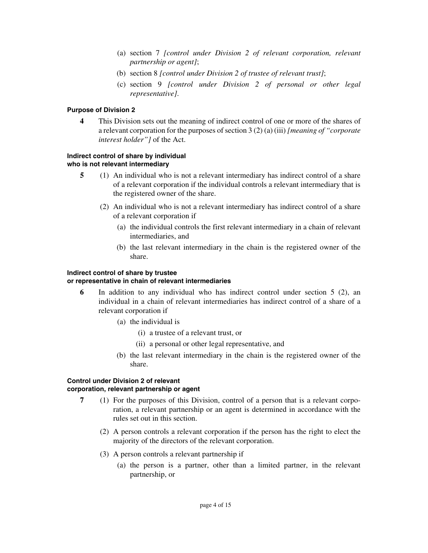- (a) section 7 *[control under Division 2 of relevant corporation, relevant partnership or agent]*;
- (b) section 8 *[control under Division 2 of trustee of relevant trust]*;
- (c) section 9 *[control under Division 2 of personal or other legal representative]*.

#### **Purpose of Division 2**

**4** This Division sets out the meaning of indirect control of one or more of the shares of a relevant corporation for the purposes of section 3 (2) (a) (iii) *[meaning of "corporate interest holder"]* of the Act.

### **Indirect control of share by individual who is not relevant intermediary**

- **5** (1) An individual who is not a relevant intermediary has indirect control of a share of a relevant corporation if the individual controls a relevant intermediary that is the registered owner of the share.
	- (2) An individual who is not a relevant intermediary has indirect control of a share of a relevant corporation if
		- (a) the individual controls the first relevant intermediary in a chain of relevant intermediaries, and
		- (b) the last relevant intermediary in the chain is the registered owner of the share.

### **Indirect control of share by trustee**

#### **or representative in chain of relevant intermediaries**

- **6** In addition to any individual who has indirect control under section 5 (2), an individual in a chain of relevant intermediaries has indirect control of a share of a relevant corporation if
	- (a) the individual is
		- (i) a trustee of a relevant trust, or
		- (ii) a personal or other legal representative, and
	- (b) the last relevant intermediary in the chain is the registered owner of the share.

#### **Control under Division 2 of relevant corporation, relevant partnership or agent**

- **7** (1) For the purposes of this Division, control of a person that is a relevant corporation, a relevant partnership or an agent is determined in accordance with the rules set out in this section.
	- (2) A person controls a relevant corporation if the person has the right to elect the majority of the directors of the relevant corporation.
	- (3) A person controls a relevant partnership if
		- (a) the person is a partner, other than a limited partner, in the relevant partnership, or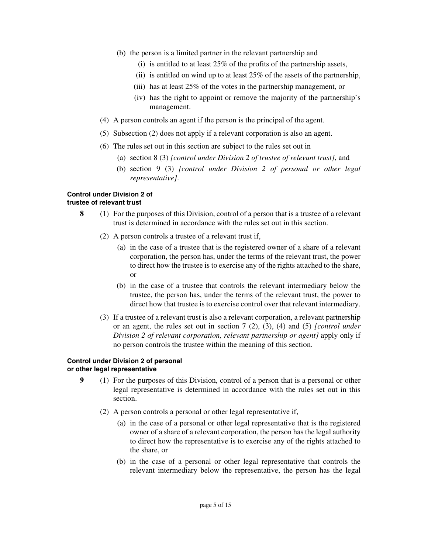- (b) the person is a limited partner in the relevant partnership and
	- (i) is entitled to at least 25% of the profits of the partnership assets,
	- (ii) is entitled on wind up to at least 25% of the assets of the partnership,
	- (iii) has at least 25% of the votes in the partnership management, or
	- (iv) has the right to appoint or remove the majority of the partnership's management.
- (4) A person controls an agent if the person is the principal of the agent.
- (5) Subsection (2) does not apply if a relevant corporation is also an agent.
- (6) The rules set out in this section are subject to the rules set out in
	- (a) section 8 (3) *[control under Division 2 of trustee of relevant trust]*, and
	- (b) section 9 (3) *[control under Division 2 of personal or other legal representative]*.

#### **Control under Division 2 of trustee of relevant trust**

- **8** (1) For the purposes of this Division, control of a person that is a trustee of a relevant trust is determined in accordance with the rules set out in this section.
	- (2) A person controls a trustee of a relevant trust if,
		- (a) in the case of a trustee that is the registered owner of a share of a relevant corporation, the person has, under the terms of the relevant trust, the power to direct how the trustee is to exercise any of the rights attached to the share, or
		- (b) in the case of a trustee that controls the relevant intermediary below the trustee, the person has, under the terms of the relevant trust, the power to direct how that trustee is to exercise control over that relevant intermediary.
	- (3) If a trustee of a relevant trust is also a relevant corporation, a relevant partnership or an agent, the rules set out in section 7 (2), (3), (4) and (5) *[control under Division 2 of relevant corporation, relevant partnership or agent]* apply only if no person controls the trustee within the meaning of this section.

#### **Control under Division 2 of personal or other legal representative**

- **9** (1) For the purposes of this Division, control of a person that is a personal or other legal representative is determined in accordance with the rules set out in this section.
	- (2) A person controls a personal or other legal representative if,
		- (a) in the case of a personal or other legal representative that is the registered owner of a share of a relevant corporation, the person has the legal authority to direct how the representative is to exercise any of the rights attached to the share, or
		- (b) in the case of a personal or other legal representative that controls the relevant intermediary below the representative, the person has the legal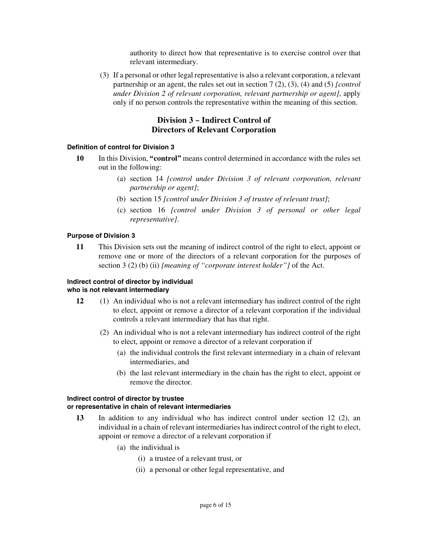authority to direct how that representative is to exercise control over that relevant intermediary.

(3) If a personal or other legal representative is also a relevant corporation, a relevant partnership or an agent, the rules set out in section 7 (2), (3), (4) and (5) *[control under Division 2 of relevant corporation, relevant partnership or agent]*, apply only if no person controls the representative within the meaning of this section.

# **Division 3 – Indirect Control of Directors of Relevant Corporation**

#### **Definition of control for Division 3**

- **10** In this Division, **"control"** means control determined in accordance with the rules set out in the following:
	- (a) section 14 *[control under Division 3 of relevant corporation, relevant partnership or agent]*;
	- (b) section 15 *[control under Division 3 of trustee of relevant trust]*;
	- (c) section 16 *[control under Division 3 of personal or other legal representative]*.

#### **Purpose of Division 3**

**11** This Division sets out the meaning of indirect control of the right to elect, appoint or remove one or more of the directors of a relevant corporation for the purposes of section 3 (2) (b) (ii) *[meaning of "corporate interest holder"]* of the Act.

## **Indirect control of director by individual who is not relevant intermediary**

- **12** (1) An individual who is not a relevant intermediary has indirect control of the right to elect, appoint or remove a director of a relevant corporation if the individual controls a relevant intermediary that has that right.
	- (2) An individual who is not a relevant intermediary has indirect control of the right to elect, appoint or remove a director of a relevant corporation if
		- (a) the individual controls the first relevant intermediary in a chain of relevant intermediaries, and
		- (b) the last relevant intermediary in the chain has the right to elect, appoint or remove the director.

#### **Indirect control of director by trustee or representative in chain of relevant intermediaries**

- **13** In addition to any individual who has indirect control under section 12 (2), an individual in a chain of relevant intermediaries has indirect control of the right to elect, appoint or remove a director of a relevant corporation if
	- (a) the individual is
		- (i) a trustee of a relevant trust, or
		- (ii) a personal or other legal representative, and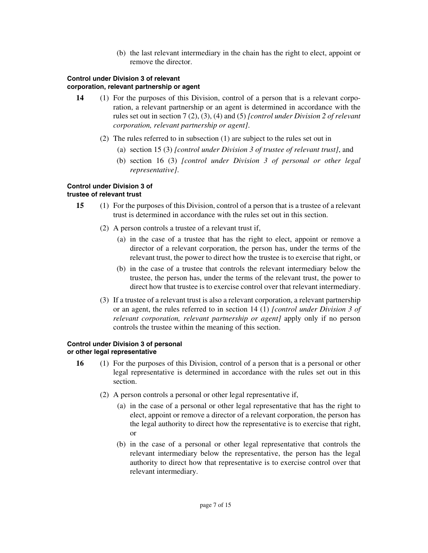(b) the last relevant intermediary in the chain has the right to elect, appoint or remove the director.

## **Control under Division 3 of relevant corporation, relevant partnership or agent**

- **14** (1) For the purposes of this Division, control of a person that is a relevant corporation, a relevant partnership or an agent is determined in accordance with the rules set out in section 7 (2), (3), (4) and (5) *[control under Division 2 of relevant corporation, relevant partnership or agent]*.
	- (2) The rules referred to in subsection (1) are subject to the rules set out in
		- (a) section 15 (3) *[control under Division 3 of trustee of relevant trust]*, and
		- (b) section 16 (3) *[control under Division 3 of personal or other legal representative]*.

## **Control under Division 3 of trustee of relevant trust**

- **15** (1) For the purposes of this Division, control of a person that is a trustee of a relevant trust is determined in accordance with the rules set out in this section.
	- (2) A person controls a trustee of a relevant trust if,
		- (a) in the case of a trustee that has the right to elect, appoint or remove a director of a relevant corporation, the person has, under the terms of the relevant trust, the power to direct how the trustee is to exercise that right, or
		- (b) in the case of a trustee that controls the relevant intermediary below the trustee, the person has, under the terms of the relevant trust, the power to direct how that trustee is to exercise control over that relevant intermediary.
	- (3) If a trustee of a relevant trust is also a relevant corporation, a relevant partnership or an agent, the rules referred to in section 14 (1) *[control under Division 3 of relevant corporation, relevant partnership or agent]* apply only if no person controls the trustee within the meaning of this section.

#### **Control under Division 3 of personal or other legal representative**

- **16** (1) For the purposes of this Division, control of a person that is a personal or other legal representative is determined in accordance with the rules set out in this section.
	- (2) A person controls a personal or other legal representative if,
		- (a) in the case of a personal or other legal representative that has the right to elect, appoint or remove a director of a relevant corporation, the person has the legal authority to direct how the representative is to exercise that right, or
		- (b) in the case of a personal or other legal representative that controls the relevant intermediary below the representative, the person has the legal authority to direct how that representative is to exercise control over that relevant intermediary.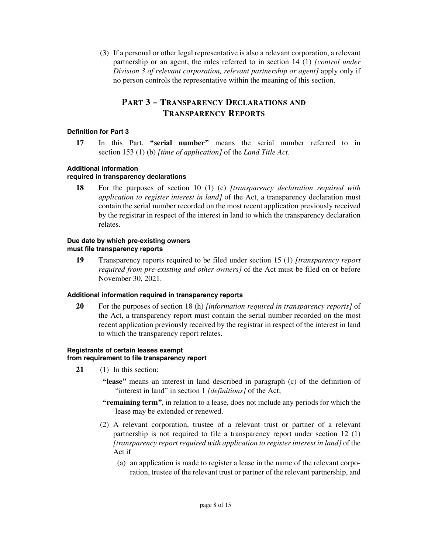(3) If a personal or other legal representative is also a relevant corporation, a relevant partnership or an agent, the rules referred to in section 14 (1) *[control under Division 3 of relevant corporation, relevant partnership or agent]* apply only if no person controls the representative within the meaning of this section.

# **PART 3 – TRANSPARENCY DECLARATIONS AND TRANSPARENCY REPORTS**

### **Definition for Part 3**

**17** In this Part, **"serial number"** means the serial number referred to in section 153 (1) (b) *[time of application]* of the *Land Title Act*.

### **Additional information**

## **required in transparency declarations**

**18** For the purposes of section 10 (1) (c) *[transparency declaration required with application to register interest in land]* of the Act, a transparency declaration must contain the serial number recorded on the most recent application previously received by the registrar in respect of the interest in land to which the transparency declaration relates.

#### **Due date by which pre-existing owners must file transparency reports**

**19** Transparency reports required to be filed under section 15 (1) *[transparency report required from pre-existing and other owners]* of the Act must be filed on or before November 30, 2021.

#### **Additional information required in transparency reports**

**20** For the purposes of section 18 (h) *[information required in transparency reports]* of the Act, a transparency report must contain the serial number recorded on the most recent application previously received by the registrar in respect of the interest in land to which the transparency report relates.

#### **Registrants of certain leases exempt from requirement to file transparency report**

- **21** (1) In this section:
	- **"lease"** means an interest in land described in paragraph (c) of the definition of "interest in land" in section 1 *[definitions]* of the Act;
	- **"remaining term"**, in relation to a lease, does not include any periods for which the lease may be extended or renewed.
	- (2) A relevant corporation, trustee of a relevant trust or partner of a relevant partnership is not required to file a transparency report under section 12 (1) *[transparency report required with application to register interest in land]* of the Act if
		- (a) an application is made to register a lease in the name of the relevant corporation, trustee of the relevant trust or partner of the relevant partnership, and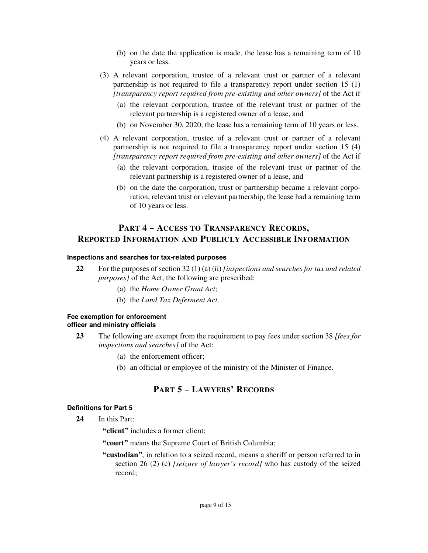- (b) on the date the application is made, the lease has a remaining term of 10 years or less.
- (3) A relevant corporation, trustee of a relevant trust or partner of a relevant partnership is not required to file a transparency report under section 15 (1) *[transparency report required from pre-existing and other owners]* of the Act if
	- (a) the relevant corporation, trustee of the relevant trust or partner of the relevant partnership is a registered owner of a lease, and
	- (b) on November 30, 2020, the lease has a remaining term of 10 years or less.
- (4) A relevant corporation, trustee of a relevant trust or partner of a relevant partnership is not required to file a transparency report under section 15 (4) *[transparency report required from pre-existing and other owners]* of the Act if
	- (a) the relevant corporation, trustee of the relevant trust or partner of the relevant partnership is a registered owner of a lease, and
	- (b) on the date the corporation, trust or partnership became a relevant corporation, relevant trust or relevant partnership, the lease had a remaining term of 10 years or less.

# **PART 4 – ACCESS TO TRANSPARENCY RECORDS, REPORTED INFORMATION AND PUBLICLY ACCESSIBLE INFORMATION**

#### **Inspections and searches for tax-related purposes**

- **22** For the purposes of section 32 (1) (a) (ii) *[inspections and searches for tax and related purposes]* of the Act, the following are prescribed:
	- (a) the *Home Owner Grant Act*;
	- (b) the *Land Tax Deferment Act*.

#### **Fee exemption for enforcement officer and ministry officials**

- **23** The following are exempt from the requirement to pay fees under section 38 *[fees for inspections and searches]* of the Act:
	- (a) the enforcement officer;
	- (b) an official or employee of the ministry of the Minister of Finance.

# **PART 5 – LAWYERS' RECORDS**

#### **Definitions for Part 5**

- **24** In this Part:
	- **"client"** includes a former client;
	- **"court"** means the Supreme Court of British Columbia;
	- **"custodian"**, in relation to a seized record, means a sheriff or person referred to in section 26 (2) (c) *[seizure of lawyer's record]* who has custody of the seized record;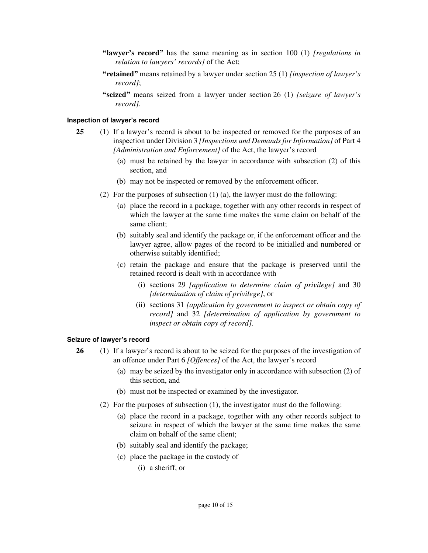- **"lawyer's record"** has the same meaning as in section 100 (1) *[regulations in relation to lawyers' records]* of the Act;
- **"retained"** means retained by a lawyer under section 25 (1) *[inspection of lawyer's record]*;
- **"seized"** means seized from a lawyer under section 26 (1) *[seizure of lawyer's record]*.

#### **Inspection of lawyer's record**

- **25** (1) If a lawyer's record is about to be inspected or removed for the purposes of an inspection under Division 3 *[Inspections and Demands for Information]* of Part 4 *[Administration and Enforcement]* of the Act, the lawyer's record
	- (a) must be retained by the lawyer in accordance with subsection (2) of this section, and
	- (b) may not be inspected or removed by the enforcement officer.
	- (2) For the purposes of subsection (1) (a), the lawyer must do the following:
		- (a) place the record in a package, together with any other records in respect of which the lawyer at the same time makes the same claim on behalf of the same client;
		- (b) suitably seal and identify the package or, if the enforcement officer and the lawyer agree, allow pages of the record to be initialled and numbered or otherwise suitably identified;
		- (c) retain the package and ensure that the package is preserved until the retained record is dealt with in accordance with
			- (i) sections 29 *[application to determine claim of privilege]* and 30 *[determination of claim of privilege]*, or
			- (ii) sections 31 *[application by government to inspect or obtain copy of record]* and 32 *[determination of application by government to inspect or obtain copy of record]*.

#### **Seizure of lawyer's record**

- **26** (1) If a lawyer's record is about to be seized for the purposes of the investigation of an offence under Part 6 *[Offences]* of the Act, the lawyer's record
	- (a) may be seized by the investigator only in accordance with subsection (2) of this section, and
	- (b) must not be inspected or examined by the investigator.
	- (2) For the purposes of subsection (1), the investigator must do the following:
		- (a) place the record in a package, together with any other records subject to seizure in respect of which the lawyer at the same time makes the same claim on behalf of the same client;
		- (b) suitably seal and identify the package;
		- (c) place the package in the custody of
			- (i) a sheriff, or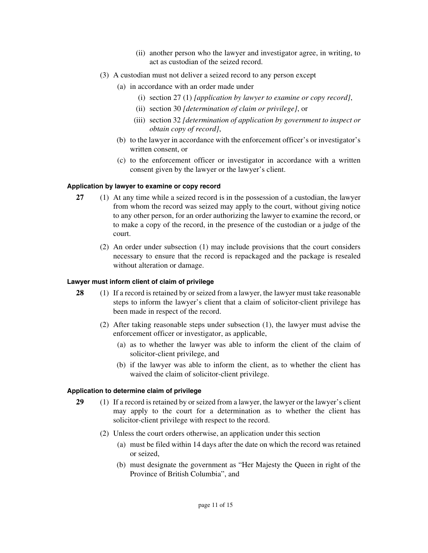- (ii) another person who the lawyer and investigator agree, in writing, to act as custodian of the seized record.
- (3) A custodian must not deliver a seized record to any person except
	- (a) in accordance with an order made under
		- (i) section 27 (1) *[application by lawyer to examine or copy record]*,
		- (ii) section 30 *[determination of claim or privilege]*, or
		- (iii) section 32 *[determination of application by government to inspect or obtain copy of record]*,
	- (b) to the lawyer in accordance with the enforcement officer's or investigator's written consent, or
	- (c) to the enforcement officer or investigator in accordance with a written consent given by the lawyer or the lawyer's client.

#### **Application by lawyer to examine or copy record**

- **27** (1) At any time while a seized record is in the possession of a custodian, the lawyer from whom the record was seized may apply to the court, without giving notice to any other person, for an order authorizing the lawyer to examine the record, or to make a copy of the record, in the presence of the custodian or a judge of the court.
	- (2) An order under subsection (1) may include provisions that the court considers necessary to ensure that the record is repackaged and the package is resealed without alteration or damage.

#### **Lawyer must inform client of claim of privilege**

- **28** (1) If a record is retained by or seized from a lawyer, the lawyer must take reasonable steps to inform the lawyer's client that a claim of solicitor-client privilege has been made in respect of the record.
	- (2) After taking reasonable steps under subsection (1), the lawyer must advise the enforcement officer or investigator, as applicable,
		- (a) as to whether the lawyer was able to inform the client of the claim of solicitor-client privilege, and
		- (b) if the lawyer was able to inform the client, as to whether the client has waived the claim of solicitor-client privilege.

#### **Application to determine claim of privilege**

- **29** (1) If a record is retained by or seized from a lawyer, the lawyer or the lawyer's client may apply to the court for a determination as to whether the client has solicitor-client privilege with respect to the record.
	- (2) Unless the court orders otherwise, an application under this section
		- (a) must be filed within 14 days after the date on which the record was retained or seized,
		- (b) must designate the government as "Her Majesty the Queen in right of the Province of British Columbia", and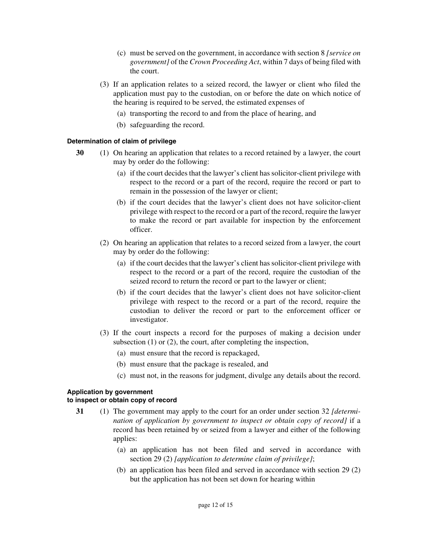- (c) must be served on the government, in accordance with section 8 *[service on government]* of the *Crown Proceeding Act*, within 7 days of being filed with the court.
- (3) If an application relates to a seized record, the lawyer or client who filed the application must pay to the custodian, on or before the date on which notice of the hearing is required to be served, the estimated expenses of
	- (a) transporting the record to and from the place of hearing, and
	- (b) safeguarding the record.

### **Determination of claim of privilege**

- **30** (1) On hearing an application that relates to a record retained by a lawyer, the court may by order do the following:
	- (a) if the court decides that the lawyer's client has solicitor-client privilege with respect to the record or a part of the record, require the record or part to remain in the possession of the lawyer or client;
	- (b) if the court decides that the lawyer's client does not have solicitor-client privilege with respect to the record or a part of the record, require the lawyer to make the record or part available for inspection by the enforcement officer.
	- (2) On hearing an application that relates to a record seized from a lawyer, the court may by order do the following:
		- (a) if the court decides that the lawyer's client has solicitor-client privilege with respect to the record or a part of the record, require the custodian of the seized record to return the record or part to the lawyer or client;
		- (b) if the court decides that the lawyer's client does not have solicitor-client privilege with respect to the record or a part of the record, require the custodian to deliver the record or part to the enforcement officer or investigator.
	- (3) If the court inspects a record for the purposes of making a decision under subsection (1) or (2), the court, after completing the inspection,
		- (a) must ensure that the record is repackaged,
		- (b) must ensure that the package is resealed, and
		- (c) must not, in the reasons for judgment, divulge any details about the record.

# **Application by government**

### **to inspect or obtain copy of record**

- **31** (1) The government may apply to the court for an order under section 32 *[determination of application by government to inspect or obtain copy of record]* if a record has been retained by or seized from a lawyer and either of the following applies:
	- (a) an application has not been filed and served in accordance with section 29 (2) *[application to determine claim of privilege]*;
	- (b) an application has been filed and served in accordance with section 29 (2) but the application has not been set down for hearing within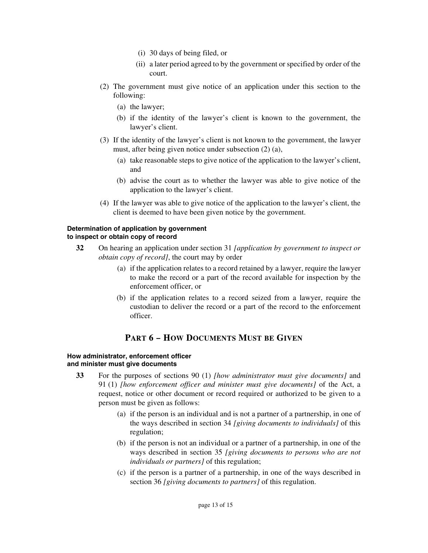- (i) 30 days of being filed, or
- (ii) a later period agreed to by the government or specified by order of the court.
- (2) The government must give notice of an application under this section to the following:
	- (a) the lawyer;
	- (b) if the identity of the lawyer's client is known to the government, the lawyer's client.
- (3) If the identity of the lawyer's client is not known to the government, the lawyer must, after being given notice under subsection (2) (a),
	- (a) take reasonable steps to give notice of the application to the lawyer's client, and
	- (b) advise the court as to whether the lawyer was able to give notice of the application to the lawyer's client.
- (4) If the lawyer was able to give notice of the application to the lawyer's client, the client is deemed to have been given notice by the government.

## **Determination of application by government to inspect or obtain copy of record**

- **32** On hearing an application under section 31 *[application by government to inspect or obtain copy of record]*, the court may by order
	- (a) if the application relates to a record retained by a lawyer, require the lawyer to make the record or a part of the record available for inspection by the enforcement officer, or
	- (b) if the application relates to a record seized from a lawyer, require the custodian to deliver the record or a part of the record to the enforcement officer.

# **PART 6 – HOW DOCUMENTS MUST BE GIVEN**

#### **How administrator, enforcement officer and minister must give documents**

- **33** For the purposes of sections 90 (1) *[how administrator must give documents]* and 91 (1) *[how enforcement officer and minister must give documents]* of the Act, a request, notice or other document or record required or authorized to be given to a person must be given as follows:
	- (a) if the person is an individual and is not a partner of a partnership, in one of the ways described in section 34 *[giving documents to individuals]* of this regulation;
	- (b) if the person is not an individual or a partner of a partnership, in one of the ways described in section 35 *[giving documents to persons who are not individuals or partners]* of this regulation;
	- (c) if the person is a partner of a partnership, in one of the ways described in section 36 *[giving documents to partners]* of this regulation.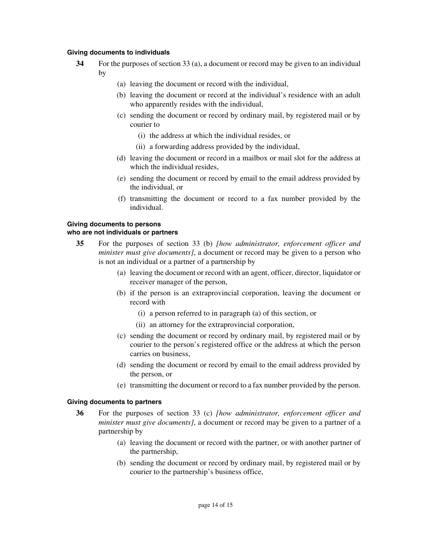#### **Giving documents to individuals**

- **34** For the purposes of section 33 (a), a document or record may be given to an individual by
	- (a) leaving the document or record with the individual,
	- (b) leaving the document or record at the individual's residence with an adult who apparently resides with the individual,
	- (c) sending the document or record by ordinary mail, by registered mail or by courier to
		- (i) the address at which the individual resides, or
		- (ii) a forwarding address provided by the individual,
	- (d) leaving the document or record in a mailbox or mail slot for the address at which the individual resides,
	- (e) sending the document or record by email to the email address provided by the individual, or
	- (f) transmitting the document or record to a fax number provided by the individual.

## **Giving documents to persons**

#### **who are not individuals or partners**

- **35** For the purposes of section 33 (b) *[how administrator, enforcement officer and minister must give documents]*, a document or record may be given to a person who is not an individual or a partner of a partnership by
	- (a) leaving the document or record with an agent, officer, director, liquidator or receiver manager of the person,
	- (b) if the person is an extraprovincial corporation, leaving the document or record with
		- (i) a person referred to in paragraph (a) of this section, or
		- (ii) an attorney for the extraprovincial corporation,
	- (c) sending the document or record by ordinary mail, by registered mail or by courier to the person's registered office or the address at which the person carries on business,
	- (d) sending the document or record by email to the email address provided by the person, or
	- (e) transmitting the document or record to a fax number provided by the person.

#### **Giving documents to partners**

- **36** For the purposes of section 33 (c) *[how administrator, enforcement officer and minister must give documents]*, a document or record may be given to a partner of a partnership by
	- (a) leaving the document or record with the partner, or with another partner of the partnership,
	- (b) sending the document or record by ordinary mail, by registered mail or by courier to the partnership's business office,